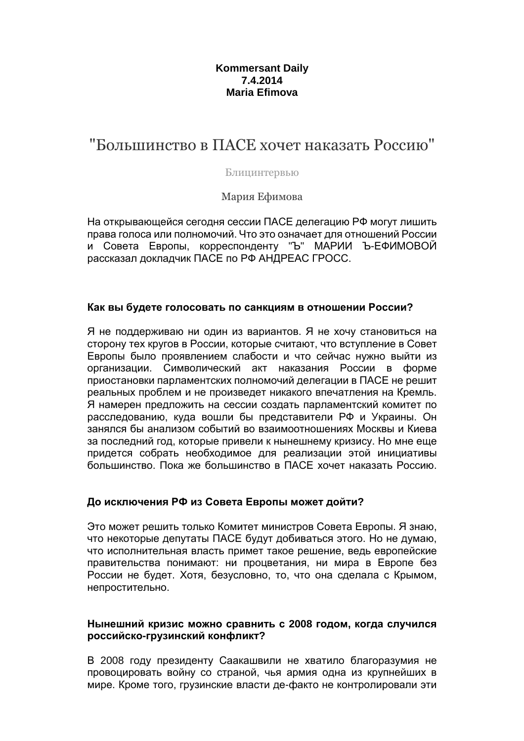# **Kommersant Daily 7.4.2014 Maria Efimova**

# "Большинство в ПАСЕ хочет наказать Россию"

#### Блицинтервью

Мария Ефимова

На открывающейся сегодня сессии ПАСЕ делегацию РФ могут лишить права голоса или полномочий. Что это означает для отношений России и Совета Европы, корреспонденту "Ъ" МАРИИ Ъ-ЕФИМОВОЙ рассказал докладчик ПАСЕ по РФ АНДРЕАС ГРОСС.

## **Как вы будете голосовать по санкциям в отношении России?**

Я не поддерживаю ни один из вариантов. Я не хочу становиться на сторону тех кругов в России, которые считают, что вступление в Совет Европы было проявлением слабости и что сейчас нужно выйти из организации. Символический акт наказания России в форме приостановки парламентских полномочий делегации в ПАСЕ не решит реальных проблем и не произведет никакого впечатления на Кремль. Я намерен предложить на сессии создать парламентский комитет по расследованию, куда вошли бы представители РФ и Украины. Он занялся бы анализом событий во взаимоотношениях Москвы и Киева за последний год, которые привели к нынешнему кризису. Но мне еще придется собрать необходимое для реализации этой инициативы большинство. Пока же большинство в ПАСЕ хочет наказать Россию.

# **До исключения РФ из Совета Европы может дойти?**

Это может решить только Комитет министров Совета Европы. Я знаю, что некоторые депутаты ПАСЕ будут добиваться этого. Но не думаю, что исполнительная власть примет такое решение, ведь европейские правительства понимают: ни процветания, ни мира в Европе без России не будет. Хотя, безусловно, то, что она сделала с Крымом, непростительно.

## **Нынешний кризис можно сравнить с 2008 годом, когда случился российско-грузинский конфликт?**

В 2008 году президенту Саакашвили не хватило благоразумия не провоцировать войну со страной, чья армия одна из крупнейших в мире. Кроме того, грузинские власти де-факто не контролировали эти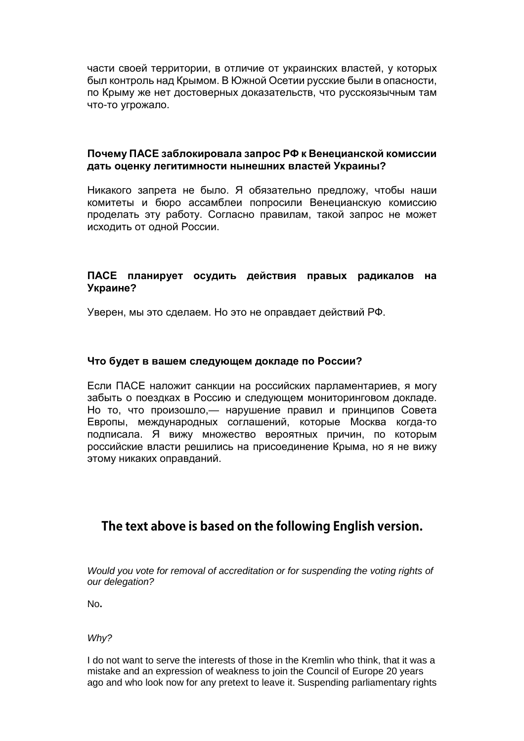части своей территории, в отличие от украинских властей, у которых был контроль над Крымом. В Южной Осетии русские были в опасности, по Крыму же нет достоверных доказательств, что русскоязычным там что-то угрожало.

## **Почему ПАСЕ заблокировала запрос РФ к Венецианской комиссии дать оценку легитимности нынешних властей Украины?**

Никакого запрета не было. Я обязательно предложу, чтобы наши комитеты и бюро ассамблеи попросили Венецианскую комиссию проделать эту работу. Согласно правилам, такой запрос не может исходить от одной России.

# **ПАСЕ планирует осудить действия правых радикалов на Украине?**

Уверен, мы это сделаем. Но это не оправдает действий РФ.

## **Что будет в вашем следующем докладе по России?**

Если ПАСЕ наложит санкции на российских парламентариев, я могу забыть о поездках в Россию и следующем мониторинговом докладе. Но то, что произошло,— нарушение правил и принципов Совета Европы, международных соглашений, которые Москва когда-то подписала. Я вижу множество вероятных причин, по которым российские власти решились на присоединение Крыма, но я не вижу этому никаких оправданий.

# **The text above is based on the following English version.**

Would you vote for removal of accreditation or for suspending the voting rights of our delegation?

No**.** 

Why?

I do not want to serve the interests of those in the Kremlin who think, that it was a mistake and an expression of weakness to join the Council of Europe 20 years ago and who look now for any pretext to leave it. Suspending parliamentary rights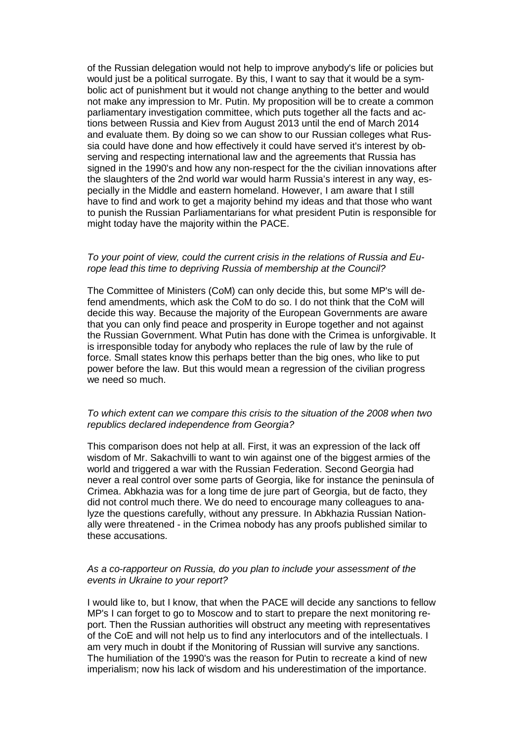of the Russian delegation would not help to improve anybody's life or policies but would just be a political surrogate. By this, I want to say that it would be a symbolic act of punishment but it would not change anything to the better and would not make any impression to Mr. Putin. My proposition will be to create a common parliamentary investigation committee, which puts together all the facts and actions between Russia and Kiev from August 2013 until the end of March 2014 and evaluate them. By doing so we can show to our Russian colleges what Russia could have done and how effectively it could have served it's interest by observing and respecting international law and the agreements that Russia has signed in the 1990's and how any non-respect for the the civilian innovations after the slaughters of the 2nd world war would harm Russia's interest in any way, especially in the Middle and eastern homeland. However, I am aware that I still have to find and work to get a majority behind my ideas and that those who want to punish the Russian Parliamentarians for what president Putin is responsible for might today have the majority within the PACE.

#### To your point of view, could the current crisis in the relations of Russia and Europe lead this time to depriving Russia of membership at the Council?

The Committee of Ministers (CoM) can only decide this, but some MP's will defend amendments, which ask the CoM to do so. I do not think that the CoM will decide this way. Because the majority of the European Governments are aware that you can only find peace and prosperity in Europe together and not against the Russian Government. What Putin has done with the Crimea is unforgivable. It is irresponsible today for anybody who replaces the rule of law by the rule of force. Small states know this perhaps better than the big ones, who like to put power before the law. But this would mean a regression of the civilian progress we need so much.

#### To which extent can we compare this crisis to the situation of the 2008 when two republics declared independence from Georgia?

This comparison does not help at all. First, it was an expression of the lack off wisdom of Mr. Sakachvilli to want to win against one of the biggest armies of the world and triggered a war with the Russian Federation. Second Georgia had never a real control over some parts of Georgia, like for instance the peninsula of Crimea. Abkhazia was for a long time de jure part of Georgia, but de facto, they did not control much there. We do need to encourage many colleagues to analyze the questions carefully, without any pressure. In Abkhazia Russian Nationally were threatened - in the Crimea nobody has any proofs published similar to these accusations.

#### As a co-rapporteur on Russia, do you plan to include your assessment of the events in Ukraine to your report?

I would like to, but I know, that when the PACE will decide any sanctions to fellow MP's I can forget to go to Moscow and to start to prepare the next monitoring report. Then the Russian authorities will obstruct any meeting with representatives of the CoE and will not help us to find any interlocutors and of the intellectuals. I am very much in doubt if the Monitoring of Russian will survive any sanctions. The humiliation of the 1990's was the reason for Putin to recreate a kind of new imperialism; now his lack of wisdom and his underestimation of the importance.